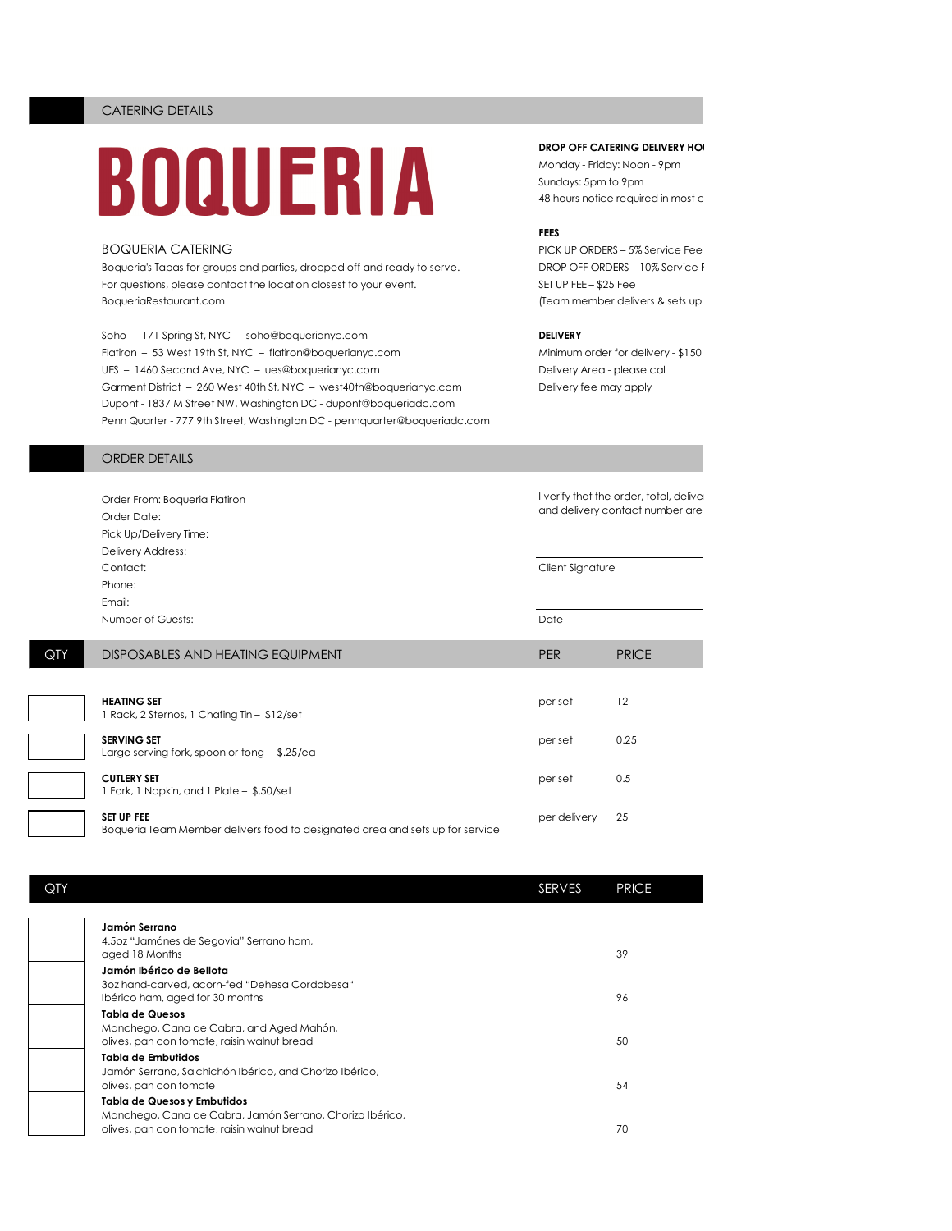# BOQUERIA

Boqueria's Tapas for groups and parties, dropped off and ready to serve. DROP OFF ORDERS - 10% Service F For questions, please contact the location closest to your event. SET UP FEE - \$25 Fee BoqueriaRestaurant.com and the sets up for sets up for sets up for sets up for sets up for sets up for sets up for sets up for sets up for sets up for sets up for sets up for sets up for sets up for sets up for sets up for

Soho – 171 Spring St, NYC – soho@boquerianyc.com **DELIVERY** Flatiron – 53 West 19th St, NYC – flatiron@boquerianyc.com Minimum order for delivery - \$150 UES - 1460 Second Ave, NYC - ues@boquerianyc.com Delivery Area - please call Garment District – 260 West 40th St, NYC – west40th@boquerianyc.com Delivery fee may apply Dupont - 1837 M Street NW, Washington DC - dupont@boqueriadc.com Penn Quarter - 777 9th Street, Washington DC - pennquarter@boqueriadc.com

# **DROP OFF CATERING DELIVERY HO**

Monday - Friday: Noon - 9pm Sundays: 5pm to 9pm 48 hours notice required in most c

## **FEES**

BOQUERIA CATERING PICK UP ORDERS – 5% Service Fee

# ORDER DETAILS

|     | Order From: Boqueria Flatiron<br>Order Date:<br>Pick Up/Delivery Time:<br>Delivery Address:        | I verify that the order, total, deliver<br>and delivery contact number are |              |
|-----|----------------------------------------------------------------------------------------------------|----------------------------------------------------------------------------|--------------|
|     | Contact:<br>Phone:<br>Email:                                                                       | Client Signature                                                           |              |
|     | Number of Guests:                                                                                  | Date                                                                       |              |
| QTY | DISPOSABLES AND HEATING EQUIPMENT                                                                  | <b>PER</b>                                                                 | <b>PRICE</b> |
|     | <b>HEATING SET</b><br>1 Rack, 2 Sternos, 1 Chafing Tin - \$12/set                                  | per set                                                                    | 12           |
|     | <b>SERVING SET</b><br>Large serving fork, spoon or tong $-$ \$.25/ea                               | per set                                                                    | 0.25         |
|     | <b>CUTLERY SET</b><br>1 Fork, 1 Napkin, and 1 Plate - \$.50/set                                    | per set                                                                    | 0.5          |
|     | <b>SET UP FEE</b><br>Boqueria Team Member delivers food to designated area and sets up for service | per delivery                                                               | 25           |

| QTY |                                                                                         | SERVES | <b>PRICE</b> |
|-----|-----------------------------------------------------------------------------------------|--------|--------------|
|     | Jamón Serrano                                                                           |        |              |
|     | 4.5oz "Jamónes de Segovia" Serrano ham,<br>aged 18 Months                               |        | 39           |
|     | Jamón Ibérico de Bellota                                                                |        |              |
|     | 3oz hand-carved, acorn-fed "Dehesa Cordobesa"<br>Ibérico ham, aged for 30 months        |        | 96           |
|     | Tabla de Quesos                                                                         |        |              |
|     | Manchego, Cana de Cabra, and Aged Mahón,<br>olives, pan con tomate, raisin walnut bread |        | 50           |
|     | Tabla de Embutidos                                                                      |        |              |
|     | Jamón Serrano, Salchichón Ibérico, and Chorizo Ibérico,<br>olives, pan con tomate       |        | 54           |
|     | Tabla de Quesos y Embutidos                                                             |        |              |
|     | olives, pan con tomate, raisin walnut bread                                             |        | 70           |
|     | Manchego, Cana de Cabra, Jamón Serrano, Chorizo Ibérico,                                |        |              |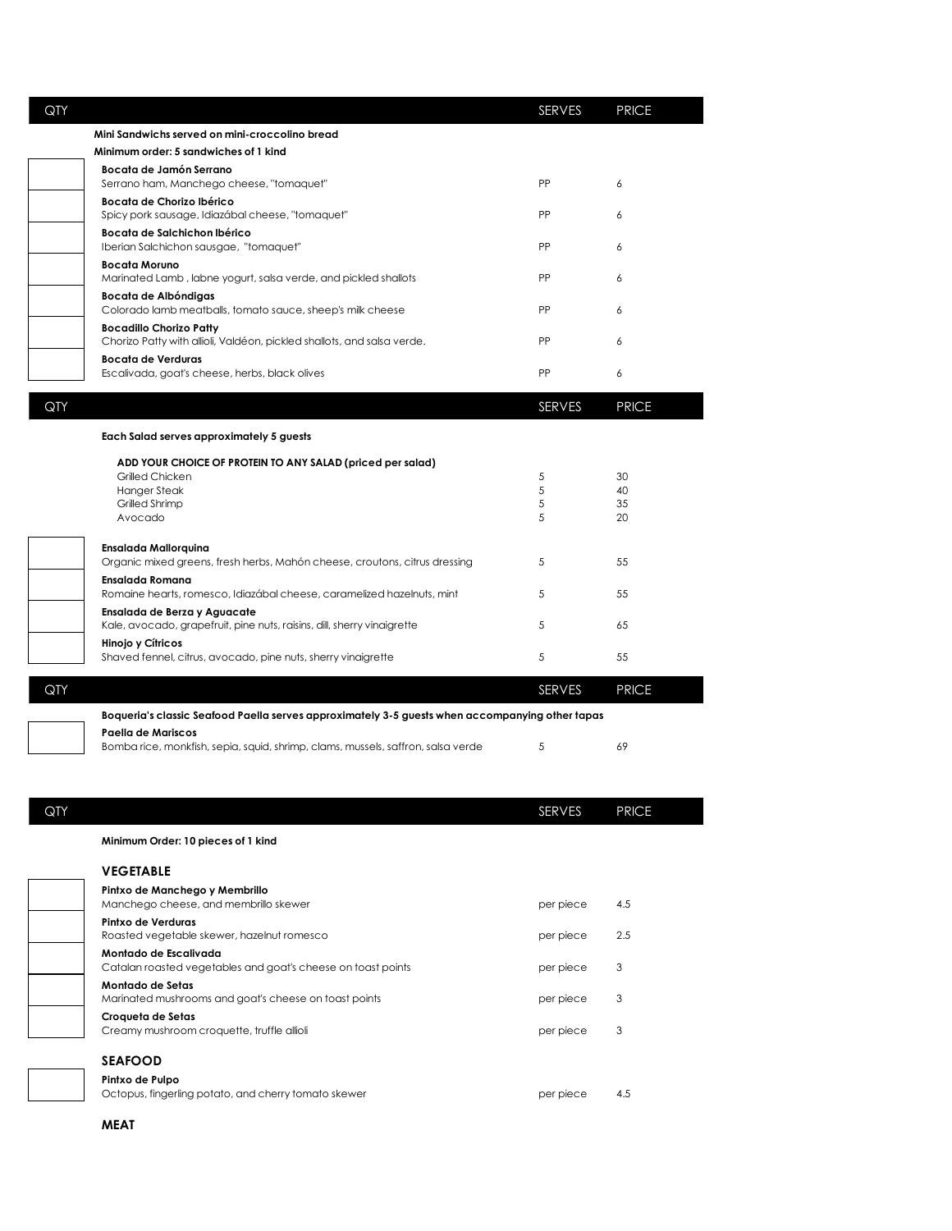| Mini Sandwichs served on mini-croccolino bread<br>Minimum order: 5 sandwiches of 1 kind<br>Bocata de Jamón Serrano<br>Serrano ham, Manchego cheese, "tomaquet"<br>Bocata de Chorizo Ibérico<br>Spicy pork sausage, Idiazábal cheese, "tomaquet"<br>Bocata de Salchichon Ibérico<br>Iberian Salchichon sausgae, "tomaquet"<br><b>Bocata Moruno</b><br>Marinated Lamb, labne yogurt, salsa verde, and pickled shallots<br>Bocata de Albóndigas<br>Colorado lamb meatballs, tomato sauce, sheep's milk cheese<br><b>Bocadillo Chorizo Patty</b><br>Chorizo Patty with allioli, Valdéon, pickled shallots, and salsa verde.<br><b>Bocata de Verduras</b><br>Escalivada, goat's cheese, herbs, black olives | <b>PP</b><br>PP<br><b>PP</b><br><b>PP</b><br>PP<br>PP<br>PP<br>SERVES | 6<br>6<br>6<br>6<br>6<br>6<br>6<br><b>PRICE</b> |
|--------------------------------------------------------------------------------------------------------------------------------------------------------------------------------------------------------------------------------------------------------------------------------------------------------------------------------------------------------------------------------------------------------------------------------------------------------------------------------------------------------------------------------------------------------------------------------------------------------------------------------------------------------------------------------------------------------|-----------------------------------------------------------------------|-------------------------------------------------|
|                                                                                                                                                                                                                                                                                                                                                                                                                                                                                                                                                                                                                                                                                                        |                                                                       |                                                 |
|                                                                                                                                                                                                                                                                                                                                                                                                                                                                                                                                                                                                                                                                                                        |                                                                       |                                                 |
|                                                                                                                                                                                                                                                                                                                                                                                                                                                                                                                                                                                                                                                                                                        |                                                                       |                                                 |
|                                                                                                                                                                                                                                                                                                                                                                                                                                                                                                                                                                                                                                                                                                        |                                                                       |                                                 |
|                                                                                                                                                                                                                                                                                                                                                                                                                                                                                                                                                                                                                                                                                                        |                                                                       |                                                 |
|                                                                                                                                                                                                                                                                                                                                                                                                                                                                                                                                                                                                                                                                                                        |                                                                       |                                                 |
|                                                                                                                                                                                                                                                                                                                                                                                                                                                                                                                                                                                                                                                                                                        |                                                                       |                                                 |
|                                                                                                                                                                                                                                                                                                                                                                                                                                                                                                                                                                                                                                                                                                        |                                                                       |                                                 |
|                                                                                                                                                                                                                                                                                                                                                                                                                                                                                                                                                                                                                                                                                                        |                                                                       |                                                 |
|                                                                                                                                                                                                                                                                                                                                                                                                                                                                                                                                                                                                                                                                                                        |                                                                       |                                                 |
|                                                                                                                                                                                                                                                                                                                                                                                                                                                                                                                                                                                                                                                                                                        |                                                                       |                                                 |
|                                                                                                                                                                                                                                                                                                                                                                                                                                                                                                                                                                                                                                                                                                        |                                                                       |                                                 |
| Each Salad serves approximately 5 guests                                                                                                                                                                                                                                                                                                                                                                                                                                                                                                                                                                                                                                                               |                                                                       |                                                 |
| ADD YOUR CHOICE OF PROTEIN TO ANY SALAD (priced per salad)                                                                                                                                                                                                                                                                                                                                                                                                                                                                                                                                                                                                                                             |                                                                       |                                                 |
| Grilled Chicken                                                                                                                                                                                                                                                                                                                                                                                                                                                                                                                                                                                                                                                                                        | 5                                                                     | 30                                              |
| <b>Hanger Steak</b><br>Grilled Shrimp                                                                                                                                                                                                                                                                                                                                                                                                                                                                                                                                                                                                                                                                  | 5<br>5                                                                | 40<br>35                                        |
| Avocado                                                                                                                                                                                                                                                                                                                                                                                                                                                                                                                                                                                                                                                                                                | 5                                                                     | 20                                              |
|                                                                                                                                                                                                                                                                                                                                                                                                                                                                                                                                                                                                                                                                                                        |                                                                       |                                                 |
| <b>Ensalada Mallorquina</b><br>Organic mixed greens, fresh herbs, Mahón cheese, croutons, citrus dressing                                                                                                                                                                                                                                                                                                                                                                                                                                                                                                                                                                                              | 5                                                                     | 55                                              |
| Ensalada Romana                                                                                                                                                                                                                                                                                                                                                                                                                                                                                                                                                                                                                                                                                        |                                                                       |                                                 |
| Romaine hearts, romesco, Idiazábal cheese, caramelized hazelnuts, mint                                                                                                                                                                                                                                                                                                                                                                                                                                                                                                                                                                                                                                 | 5                                                                     | 55                                              |
| Ensalada de Berza y Aguacate<br>Kale, avocado, grapefruit, pine nuts, raisins, dill, sherry vinaigrette                                                                                                                                                                                                                                                                                                                                                                                                                                                                                                                                                                                                | 5                                                                     | 65                                              |
| Hinojo y Cítricos                                                                                                                                                                                                                                                                                                                                                                                                                                                                                                                                                                                                                                                                                      |                                                                       |                                                 |
| Shaved fennel, citrus, avocado, pine nuts, sherry vinaigrette                                                                                                                                                                                                                                                                                                                                                                                                                                                                                                                                                                                                                                          | 5                                                                     | 55                                              |
|                                                                                                                                                                                                                                                                                                                                                                                                                                                                                                                                                                                                                                                                                                        | SERVES                                                                | <b>PRICE</b>                                    |
| Boqueria's classic Seafood Paella serves approximately 3-5 guests when accompanying other tapas                                                                                                                                                                                                                                                                                                                                                                                                                                                                                                                                                                                                        |                                                                       |                                                 |
| Paella de Mariscos                                                                                                                                                                                                                                                                                                                                                                                                                                                                                                                                                                                                                                                                                     |                                                                       |                                                 |
| Bomba rice, monkfish, sepia, squid, shrimp, clams, mussels, saffron, salsa verde                                                                                                                                                                                                                                                                                                                                                                                                                                                                                                                                                                                                                       | 5                                                                     | 69                                              |

| QTY |                                                                                       | <b>SERVES</b> | <b>PRICE</b> |
|-----|---------------------------------------------------------------------------------------|---------------|--------------|
|     | Minimum Order: 10 pieces of 1 kind                                                    |               |              |
|     | <b>VEGETABLE</b>                                                                      |               |              |
|     | Pintxo de Manchego y Membrillo<br>Manchego cheese, and membrillo skewer               | per piece     | 4.5          |
|     | Pintxo de Verduras<br>Roasted vegetable skewer, hazelnut romesco                      | per piece     | 2.5          |
|     | Montado de Escalivada<br>Catalan roasted vegetables and goat's cheese on toast points | per piece     | 3            |
|     | Montado de Setas<br>Marinated mushrooms and goat's cheese on toast points             | per piece     | 3            |
|     | Croqueta de Setas<br>Creamy mushroom croquette, truffle allioli                       | per piece     | 3            |
|     | <b>SEAFOOD</b>                                                                        |               |              |
|     | Pintxo de Pulpo<br>Octopus, fingerling potato, and cherry tomato skewer               | per piece     | 4.5          |